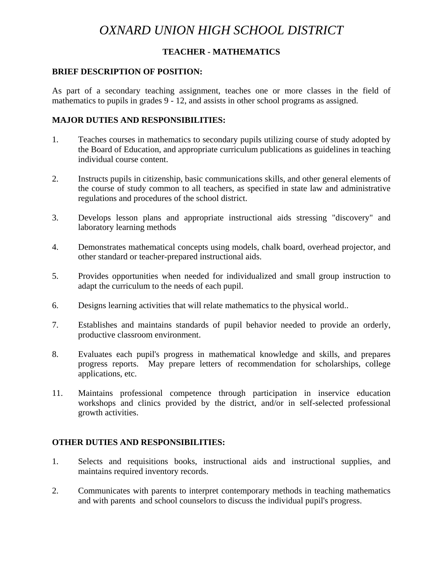# *OXNARD UNION HIGH SCHOOL DISTRICT*

## **TEACHER - MATHEMATICS**

#### **BRIEF DESCRIPTION OF POSITION:**

As part of a secondary teaching assignment, teaches one or more classes in the field of mathematics to pupils in grades 9 - 12, and assists in other school programs as assigned.

#### **MAJOR DUTIES AND RESPONSIBILITIES:**

- 1. Teaches courses in mathematics to secondary pupils utilizing course of study adopted by the Board of Education, and appropriate curriculum publications as guidelines in teaching individual course content.
- 2. Instructs pupils in citizenship, basic communications skills, and other general elements of the course of study common to all teachers, as specified in state law and administrative regulations and procedures of the school district.
- 3. Develops lesson plans and appropriate instructional aids stressing "discovery" and laboratory learning methods
- 4. Demonstrates mathematical concepts using models, chalk board, overhead projector, and other standard or teacher-prepared instructional aids.
- 5. Provides opportunities when needed for individualized and small group instruction to adapt the curriculum to the needs of each pupil.
- 6. Designs learning activities that will relate mathematics to the physical world..
- 7. Establishes and maintains standards of pupil behavior needed to provide an orderly, productive classroom environment.
- 8. Evaluates each pupil's progress in mathematical knowledge and skills, and prepares progress reports. May prepare letters of recommendation for scholarships, college applications, etc.
- 11. Maintains professional competence through participation in inservice education workshops and clinics provided by the district, and/or in self-selected professional growth activities.

#### **OTHER DUTIES AND RESPONSIBILITIES:**

- 1. Selects and requisitions books, instructional aids and instructional supplies, and maintains required inventory records.
- 2. Communicates with parents to interpret contemporary methods in teaching mathematics and with parents and school counselors to discuss the individual pupil's progress.